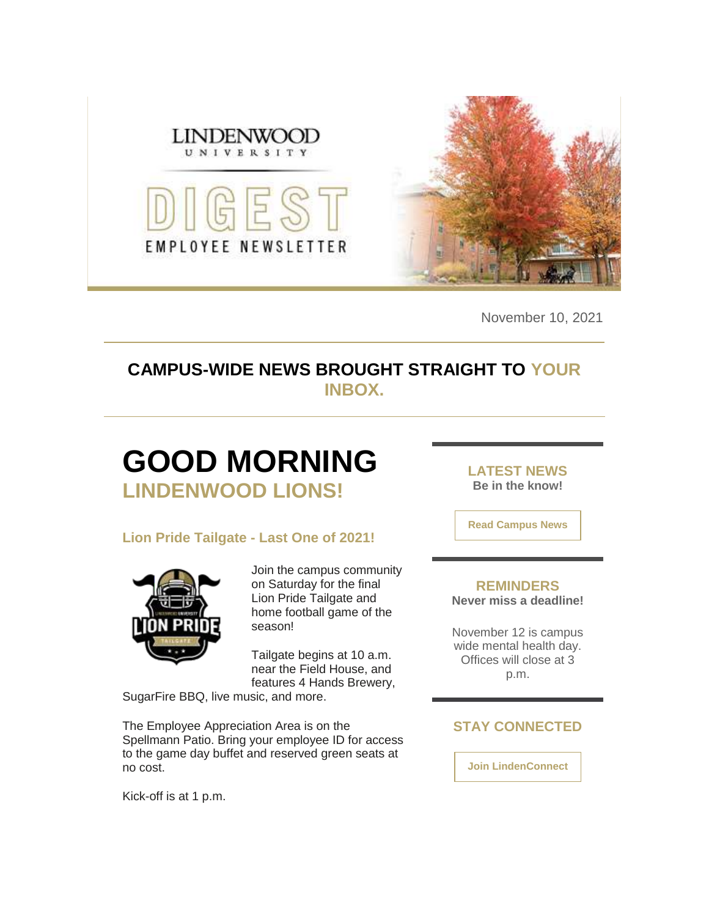

November 10, 2021

### **CAMPUS-WIDE NEWS BROUGHT STRAIGHT TO YOUR INBOX.**

### **GOOD MORNING LINDENWOOD LIONS!**

### **Lion Pride Tailgate - Last One of 2021!**



Join the campus community on Saturday for the final Lion Pride Tailgate and home football game of the season!

Tailgate begins at 10 a.m. near the Field House, and features 4 Hands Brewery,

SugarFire BBQ, live music, and more.

The Employee Appreciation Area is on the Spellmann Patio. Bring your employee ID for access to the game day buffet and reserved green seats at no cost.

Kick-off is at 1 p.m.

**LATEST NEWS Be in the know!** 

**[Read Campus News](https://nam04.safelinks.protection.outlook.com/?url=https%3A%2F%2Fr20.rs6.net%2Ftn.jsp%3Ff%3D0011ENtwip0WXNMedkPMl2st-xi0yxC0oI96h8JcbsaZ-i1dP0oRoUhe0kTZkx8_xG1R0ObV9m1vxsd6fH4QA6BJxF-2dTxpl8aITsdCLywYRjVK4bkhiZ1mUl-FviBW346kntvf7Mc22oFdUsVDapebyt9cPnFJzx2lVecmDdyMRc%3D%26c%3Dx5e4YRZYrIg46T7A_irIt4XUQh8H_MUKlAGRBi7NJPzhBG7SIab3-w%3D%3D%26ch%3DJRZVduZlPvzhkgjSUp-N8pUoWOoKikyg8T5fbBTQL8EvppiKA0ePew%3D%3D&data=04%7C01%7Cphuffman%40lindenwood.edu%7C450b39c955834510d94d08d9a45f18aa%7C3d72f08e540a4c68905d9e69c4d9c61e%7C1%7C0%7C637721550619963362%7CUnknown%7CTWFpbGZsb3d8eyJWIjoiMC4wLjAwMDAiLCJQIjoiV2luMzIiLCJBTiI6Ik1haWwiLCJXVCI6Mn0%3D%7C1000&sdata=V9F5Dnwa1GH4kTb%2FaeQQq%2FvoAmdwwqcAn71qYIRyD4Y%3D&reserved=0)**

#### **REMINDERS Never miss a deadline!**

November 12 is campus wide mental health day. Offices will close at 3

p.m.

### **STAY CONNECTED**

**[Join LindenConnect](https://nam04.safelinks.protection.outlook.com/?url=https%3A%2F%2Fr20.rs6.net%2Ftn.jsp%3Ff%3D0011ENtwip0WXNMedkPMl2st-xi0yxC0oI96h8JcbsaZ-i1dP0oRoUheyisdXaqDAMZpqFQwmuwXRf5_ayATMUizadCUbBxPiNWIXt7MTpzJf0KITUfJBzSFZhlKu2HgiNM4P9GDqw9fJv3u_1nTDUX8t_2ISZ6Jz1pIqGvDVBQy-c%3D%26c%3Dx5e4YRZYrIg46T7A_irIt4XUQh8H_MUKlAGRBi7NJPzhBG7SIab3-w%3D%3D%26ch%3DJRZVduZlPvzhkgjSUp-N8pUoWOoKikyg8T5fbBTQL8EvppiKA0ePew%3D%3D&data=04%7C01%7Cphuffman%40lindenwood.edu%7C450b39c955834510d94d08d9a45f18aa%7C3d72f08e540a4c68905d9e69c4d9c61e%7C1%7C0%7C637721550619963362%7CUnknown%7CTWFpbGZsb3d8eyJWIjoiMC4wLjAwMDAiLCJQIjoiV2luMzIiLCJBTiI6Ik1haWwiLCJXVCI6Mn0%3D%7C1000&sdata=OdR2wILfO%2F1ql1nsosv6cIh3fLDIFdnFowEPKIgkmbs%3D&reserved=0)**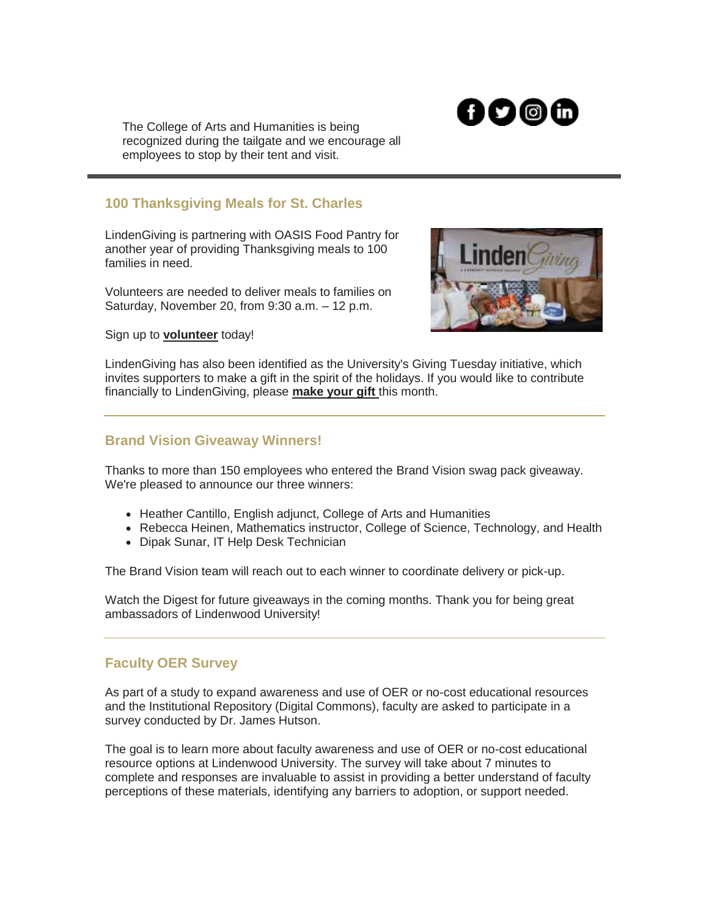

The College of Arts and Humanities is being recognized during the tailgate and we encourage all employees to stop by their tent and visit.

### **100 Thanksgiving Meals for St. Charles**

LindenGiving is partnering with OASIS Food Pantry for another year of providing Thanksgiving meals to 100 families in need.

Volunteers are needed to deliver meals to families on Saturday, November 20, from 9:30 a.m. – 12 p.m.



Sign up to **[volunteer](https://nam04.safelinks.protection.outlook.com/?url=https%3A%2F%2Fr20.rs6.net%2Ftn.jsp%3Ff%3D0011ENtwip0WXNMedkPMl2st-xi0yxC0oI96h8JcbsaZ-i1dP0oRoUhe78KxHK48VW7u3XHoU7Z-CGOo19R1WgI1qRcBuH9V5zaG5MFtMBmW7zMpeAVzZyV-AW75HnN_r5K2QS4dkS9pJRSM1EP-s6UeDrdL9CPsqbycIae_LKZZ0HpUFCEl834klP1Bz47kmLKWzBv6F4VJbw%3D%26c%3Dx5e4YRZYrIg46T7A_irIt4XUQh8H_MUKlAGRBi7NJPzhBG7SIab3-w%3D%3D%26ch%3DJRZVduZlPvzhkgjSUp-N8pUoWOoKikyg8T5fbBTQL8EvppiKA0ePew%3D%3D&data=04%7C01%7Cphuffman%40lindenwood.edu%7C450b39c955834510d94d08d9a45f18aa%7C3d72f08e540a4c68905d9e69c4d9c61e%7C1%7C0%7C637721550620003197%7CUnknown%7CTWFpbGZsb3d8eyJWIjoiMC4wLjAwMDAiLCJQIjoiV2luMzIiLCJBTiI6Ik1haWwiLCJXVCI6Mn0%3D%7C1000&sdata=Wrz5%2BnklEF4Hby7xnVA8Ck%2BgN5KtvtdgdqyGSwX1R0E%3D&reserved=0)** today!

LindenGiving has also been identified as the University's Giving Tuesday initiative, which invites supporters to make a gift in the spirit of the holidays. If you would like to contribute financially to LindenGiving, please **[make your gift](https://nam04.safelinks.protection.outlook.com/?url=https%3A%2F%2Fr20.rs6.net%2Ftn.jsp%3Ff%3D0011ENtwip0WXNMedkPMl2st-xi0yxC0oI96h8JcbsaZ-i1dP0oRoUhe6I0_GNbho-aQE-PUlFjGv0PCkB2pGH41KGelNPpVXxMNNRMQyCdO8h34b-U5wrA9XTj9rmIRa9OX0uU9Wa93C_lOmloIH7e_8Boag-1FR71FSF6XqINIjZHV8EIwiCGgPNyD_27HnoLbeNHxzXC3xMliS8fjAqbfYC40oIXL8c0%26c%3Dx5e4YRZYrIg46T7A_irIt4XUQh8H_MUKlAGRBi7NJPzhBG7SIab3-w%3D%3D%26ch%3DJRZVduZlPvzhkgjSUp-N8pUoWOoKikyg8T5fbBTQL8EvppiKA0ePew%3D%3D&data=04%7C01%7Cphuffman%40lindenwood.edu%7C450b39c955834510d94d08d9a45f18aa%7C3d72f08e540a4c68905d9e69c4d9c61e%7C1%7C0%7C637721550620013146%7CUnknown%7CTWFpbGZsb3d8eyJWIjoiMC4wLjAwMDAiLCJQIjoiV2luMzIiLCJBTiI6Ik1haWwiLCJXVCI6Mn0%3D%7C1000&sdata=99ls85Al2amx5AelGVsLVxc2ssnKmYlX%2Fj10duoVEp4%3D&reserved=0)** this month.

### **Brand Vision Giveaway Winners!**

Thanks to more than 150 employees who entered the Brand Vision swag pack giveaway. We're pleased to announce our three winners:

- Heather Cantillo, English adjunct, College of Arts and Humanities
- Rebecca Heinen, Mathematics instructor, College of Science, Technology, and Health
- Dipak Sunar, IT Help Desk Technician

The Brand Vision team will reach out to each winner to coordinate delivery or pick-up.

Watch the Digest for future giveaways in the coming months. Thank you for being great ambassadors of Lindenwood University!

### **Faculty OER Survey**

As part of a study to expand awareness and use of OER or no-cost educational resources and the Institutional Repository (Digital Commons), faculty are asked to participate in a survey conducted by Dr. James Hutson.

The goal is to learn more about faculty awareness and use of OER or no-cost educational resource options at Lindenwood University. The survey will take about 7 minutes to complete and responses are invaluable to assist in providing a better understand of faculty perceptions of these materials, identifying any barriers to adoption, or support needed.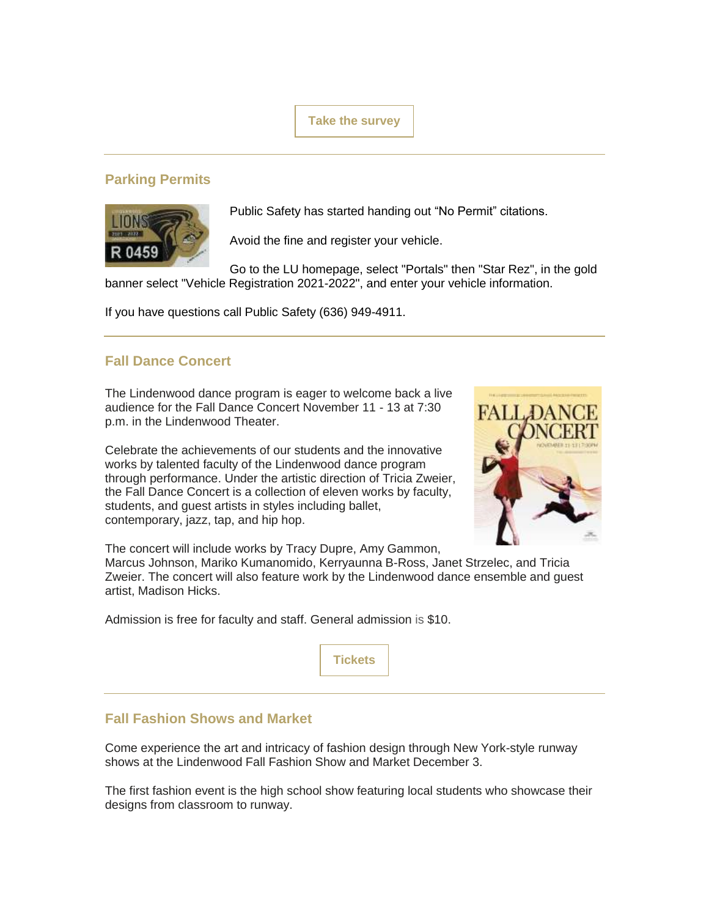**[Take the survey](https://nam04.safelinks.protection.outlook.com/?url=https%3A%2F%2Fr20.rs6.net%2Ftn.jsp%3Ff%3D0011ENtwip0WXNMedkPMl2st-xi0yxC0oI96h8JcbsaZ-i1dP0oRoUhe-c0cUEVBZmjfRGjDlkSEEOhwSzlL5YimYE3tL7qrvxvX7unVm81i4PAiQZRQG3aU4_QUOQvmTqw4TjQg5eCIZCy5LB7gp3MgndE7naruCIdRBAQH23dwf5ybWue6ulmCk22DfpQjRu9Co2PV2p9GNc%3D%26c%3Dx5e4YRZYrIg46T7A_irIt4XUQh8H_MUKlAGRBi7NJPzhBG7SIab3-w%3D%3D%26ch%3DJRZVduZlPvzhkgjSUp-N8pUoWOoKikyg8T5fbBTQL8EvppiKA0ePew%3D%3D&data=04%7C01%7Cphuffman%40lindenwood.edu%7C450b39c955834510d94d08d9a45f18aa%7C3d72f08e540a4c68905d9e69c4d9c61e%7C1%7C0%7C637721550620013146%7CUnknown%7CTWFpbGZsb3d8eyJWIjoiMC4wLjAwMDAiLCJQIjoiV2luMzIiLCJBTiI6Ik1haWwiLCJXVCI6Mn0%3D%7C1000&sdata=RvZj9KIFn4WW88%2BTObmVAfxqCbPdboYYldGrawbrAEE%3D&reserved=0)**

### **Parking Permits**



Public Safety has started handing out "No Permit" citations.

Avoid the fine and register your vehicle.

Go to the LU homepage, select "Portals" then "Star Rez", in the gold banner select "Vehicle Registration 2021-2022", and enter your vehicle information.

If you have questions call Public Safety (636) 949-4911.

### **Fall Dance Concert**

The Lindenwood dance program is eager to welcome back a live audience for the Fall Dance Concert November 11 - 13 at 7:30 p.m. in the Lindenwood Theater.

Celebrate the achievements of our students and the innovative works by talented faculty of the Lindenwood dance program through performance. Under the artistic direction of Tricia Zweier, the Fall Dance Concert is a collection of eleven works by faculty, students, and guest artists in styles including ballet, contemporary, jazz, tap, and hip hop.



The concert will include works by Tracy Dupre, Amy Gammon,

Marcus Johnson, Mariko Kumanomido, Kerryaunna B-Ross, Janet Strzelec, and Tricia Zweier. The concert will also feature work by the Lindenwood dance ensemble and guest artist, Madison Hicks.

Admission is free for faculty and staff. General admission is \$10.



### **Fall Fashion Shows and Market**

Come experience the art and intricacy of fashion design through New York-style runway shows at the Lindenwood Fall Fashion Show and Market December 3.

The first fashion event is the high school show featuring local students who showcase their designs from classroom to runway.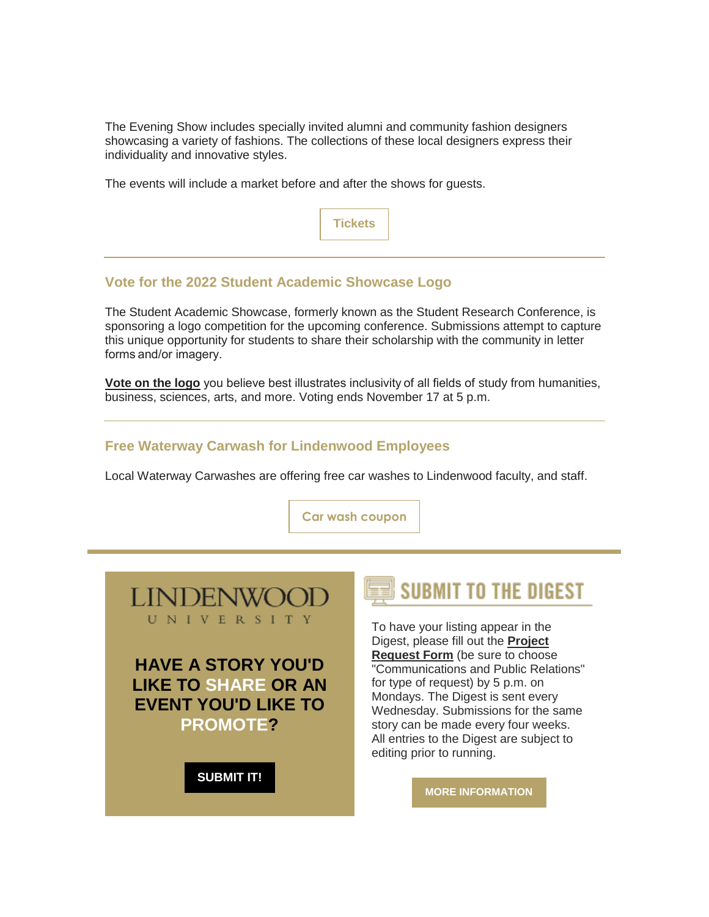The Evening Show includes specially invited alumni and community fashion designers showcasing a variety of fashions. The collections of these local designers express their individuality and innovative styles.

The events will include a market before and after the shows for guests.



### **Vote for the 2022 Student Academic Showcase Logo**

The Student Academic Showcase, formerly known as the Student Research Conference, is sponsoring a logo competition for the upcoming conference. Submissions attempt to capture this unique opportunity for students to share their scholarship with the community in letter forms and/or imagery.

**[Vote on the logo](https://nam04.safelinks.protection.outlook.com/?url=https%3A%2F%2Fr20.rs6.net%2Ftn.jsp%3Ff%3D0011ENtwip0WXNMedkPMl2st-xi0yxC0oI96h8JcbsaZ-i1dP0oRoUhe-c0cUEVBZmj0UMApDtZ2G4bXJ9o01yxU71PgUghCrg8XL7OP9Vk23nM2McgJng0VoUoyUNmhGKs6SvQO3O3fBiSMJR2eC4EcayedG9lkIGsq3STVlMd1K-3w35pQb8OkpyyvmTjNeV8U9EQbL0CLWY%3D%26c%3Dx5e4YRZYrIg46T7A_irIt4XUQh8H_MUKlAGRBi7NJPzhBG7SIab3-w%3D%3D%26ch%3DJRZVduZlPvzhkgjSUp-N8pUoWOoKikyg8T5fbBTQL8EvppiKA0ePew%3D%3D&data=04%7C01%7Cphuffman%40lindenwood.edu%7C450b39c955834510d94d08d9a45f18aa%7C3d72f08e540a4c68905d9e69c4d9c61e%7C1%7C0%7C637721550620033061%7CUnknown%7CTWFpbGZsb3d8eyJWIjoiMC4wLjAwMDAiLCJQIjoiV2luMzIiLCJBTiI6Ik1haWwiLCJXVCI6Mn0%3D%7C1000&sdata=mo%2BzkQ9LnYhkwKeNsrlWQESb93OH4Q%2F324R4ERH4kgE%3D&reserved=0)** you believe best illustrates inclusivity of all fields of study from humanities, business, sciences, arts, and more. Voting ends November 17 at 5 p.m.

### **Free Waterway Carwash for Lindenwood Employees**

Local Waterway Carwashes are offering free car washes to Lindenwood faculty, and staff.

**[Car wash coupon](https://nam04.safelinks.protection.outlook.com/?url=https%3A%2F%2Fr20.rs6.net%2Ftn.jsp%3Ff%3D0011ENtwip0WXNMedkPMl2st-xi0yxC0oI96h8JcbsaZ-i1dP0oRoUhe-c0cUEVBZmj3rSwKQvsIrTtagH0SqTv1YErEoWd4jjb7Ixbuj-VC8UgRG1BOkJ6ROP9m_2Fb8aUn-Qn_WW6cbOCsyc9duVAZcDdKR55ruDm%26c%3Dx5e4YRZYrIg46T7A_irIt4XUQh8H_MUKlAGRBi7NJPzhBG7SIab3-w%3D%3D%26ch%3DJRZVduZlPvzhkgjSUp-N8pUoWOoKikyg8T5fbBTQL8EvppiKA0ePew%3D%3D&data=04%7C01%7Cphuffman%40lindenwood.edu%7C450b39c955834510d94d08d9a45f18aa%7C3d72f08e540a4c68905d9e69c4d9c61e%7C1%7C0%7C637721550620043008%7CUnknown%7CTWFpbGZsb3d8eyJWIjoiMC4wLjAwMDAiLCJQIjoiV2luMzIiLCJBTiI6Ik1haWwiLCJXVCI6Mn0%3D%7C1000&sdata=g5BFLjQQntXgGshs1cV2QU3gxZ9hLpfOl%2FHOQvpujxk%3D&reserved=0)**



**HAVE A STORY YOU'D LIKE TO SHARE OR AN EVENT YOU'D LIKE TO PROMOTE?** 

**[SUBMIT IT!](https://nam04.safelinks.protection.outlook.com/?url=https%3A%2F%2Fr20.rs6.net%2Ftn.jsp%3Ff%3D0011ENtwip0WXNMedkPMl2st-xi0yxC0oI96h8JcbsaZ-i1dP0oRoUhe-ILgx2xjTHakCVmoMQmOKj4-Vu7saxX1Zeat9I7k_wraf_rHgI7G4ZiAxrlVK1YKTFhmcwDkjTvnFsExARiyGBypWr7RgtMCI77NULZ6bgZmdRQqdpU8ROGUxXa-Uc2ID9XZfZgog7t3wja_p_kLWqv32xA9ltbtk1Y4d-ETlj2%26c%3Dx5e4YRZYrIg46T7A_irIt4XUQh8H_MUKlAGRBi7NJPzhBG7SIab3-w%3D%3D%26ch%3DJRZVduZlPvzhkgjSUp-N8pUoWOoKikyg8T5fbBTQL8EvppiKA0ePew%3D%3D&data=04%7C01%7Cphuffman%40lindenwood.edu%7C450b39c955834510d94d08d9a45f18aa%7C3d72f08e540a4c68905d9e69c4d9c61e%7C1%7C0%7C637721550620052977%7CUnknown%7CTWFpbGZsb3d8eyJWIjoiMC4wLjAwMDAiLCJQIjoiV2luMzIiLCJBTiI6Ik1haWwiLCJXVCI6Mn0%3D%7C1000&sdata=85V0QMGrgweKm%2BLoZXIAHXC2EINuLlLsCtHa9%2FNiv4Q%3D&reserved=0)**



To have your listing appear in the Digest, please fill out the **[Project](https://nam04.safelinks.protection.outlook.com/?url=https%3A%2F%2Fr20.rs6.net%2Ftn.jsp%3Ff%3D0011ENtwip0WXNMedkPMl2st-xi0yxC0oI96h8JcbsaZ-i1dP0oRoUhe-ILgx2xjTHakCVmoMQmOKj4-Vu7saxX1Zeat9I7k_wraf_rHgI7G4ZiAxrlVK1YKTFhmcwDkjTvnFsExARiyGBypWr7RgtMCI77NULZ6bgZmdRQqdpU8ROGUxXa-Uc2ID9XZfZgog7t3wja_p_kLWqv32xA9ltbtk1Y4d-ETlj2%26c%3Dx5e4YRZYrIg46T7A_irIt4XUQh8H_MUKlAGRBi7NJPzhBG7SIab3-w%3D%3D%26ch%3DJRZVduZlPvzhkgjSUp-N8pUoWOoKikyg8T5fbBTQL8EvppiKA0ePew%3D%3D&data=04%7C01%7Cphuffman%40lindenwood.edu%7C450b39c955834510d94d08d9a45f18aa%7C3d72f08e540a4c68905d9e69c4d9c61e%7C1%7C0%7C637721550620052977%7CUnknown%7CTWFpbGZsb3d8eyJWIjoiMC4wLjAwMDAiLCJQIjoiV2luMzIiLCJBTiI6Ik1haWwiLCJXVCI6Mn0%3D%7C1000&sdata=85V0QMGrgweKm%2BLoZXIAHXC2EINuLlLsCtHa9%2FNiv4Q%3D&reserved=0)  [Request Form](https://nam04.safelinks.protection.outlook.com/?url=https%3A%2F%2Fr20.rs6.net%2Ftn.jsp%3Ff%3D0011ENtwip0WXNMedkPMl2st-xi0yxC0oI96h8JcbsaZ-i1dP0oRoUhe-ILgx2xjTHakCVmoMQmOKj4-Vu7saxX1Zeat9I7k_wraf_rHgI7G4ZiAxrlVK1YKTFhmcwDkjTvnFsExARiyGBypWr7RgtMCI77NULZ6bgZmdRQqdpU8ROGUxXa-Uc2ID9XZfZgog7t3wja_p_kLWqv32xA9ltbtk1Y4d-ETlj2%26c%3Dx5e4YRZYrIg46T7A_irIt4XUQh8H_MUKlAGRBi7NJPzhBG7SIab3-w%3D%3D%26ch%3DJRZVduZlPvzhkgjSUp-N8pUoWOoKikyg8T5fbBTQL8EvppiKA0ePew%3D%3D&data=04%7C01%7Cphuffman%40lindenwood.edu%7C450b39c955834510d94d08d9a45f18aa%7C3d72f08e540a4c68905d9e69c4d9c61e%7C1%7C0%7C637721550620052977%7CUnknown%7CTWFpbGZsb3d8eyJWIjoiMC4wLjAwMDAiLCJQIjoiV2luMzIiLCJBTiI6Ik1haWwiLCJXVCI6Mn0%3D%7C1000&sdata=85V0QMGrgweKm%2BLoZXIAHXC2EINuLlLsCtHa9%2FNiv4Q%3D&reserved=0)** (be sure to choose "Communications and Public Relations" for type of request) by 5 p.m. on Mondays. The Digest is sent every Wednesday. Submissions for the same story can be made every four weeks. All entries to the Digest are subject to editing prior to running.

**[MORE INFORMATION](https://nam04.safelinks.protection.outlook.com/?url=https%3A%2F%2Fr20.rs6.net%2Ftn.jsp%3Ff%3D0011ENtwip0WXNMedkPMl2st-xi0yxC0oI96h8JcbsaZ-i1dP0oRoUhe0kTZkx8_xG1D8fAU40TjQ9c11sU23V9BgBpIHgAIevW7-YxXtKLhlpdZ8VlQ2wvPMZPbnQ3AjUFM7PYZlbaqALP_gUkWitcuJiEIV-DVSVlEX8ML9CW6IsTCqWw0gC2tGKSDiJ0qguKv3APLfFL0qWInT2c73ANehPyeTGHn2pwOKWo-CfI5FeBLTtG0ModTA%3D%3D%26c%3Dx5e4YRZYrIg46T7A_irIt4XUQh8H_MUKlAGRBi7NJPzhBG7SIab3-w%3D%3D%26ch%3DJRZVduZlPvzhkgjSUp-N8pUoWOoKikyg8T5fbBTQL8EvppiKA0ePew%3D%3D&data=04%7C01%7Cphuffman%40lindenwood.edu%7C450b39c955834510d94d08d9a45f18aa%7C3d72f08e540a4c68905d9e69c4d9c61e%7C1%7C0%7C637721550620062939%7CUnknown%7CTWFpbGZsb3d8eyJWIjoiMC4wLjAwMDAiLCJQIjoiV2luMzIiLCJBTiI6Ik1haWwiLCJXVCI6Mn0%3D%7C1000&sdata=srbHg6a45Vad5jM8XN6FDX9b2%2F9%2F%2B5D0ARBuVY%2B3mUs%3D&reserved=0)**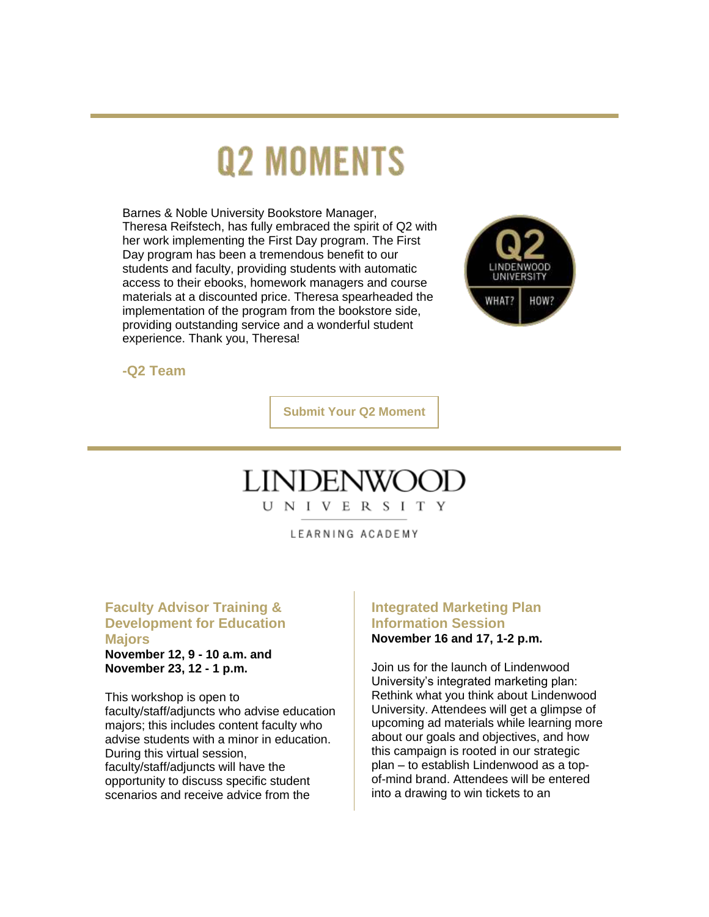# **Q2 MOMENTS**

Barnes & Noble University Bookstore Manager, Theresa Reifstech, has fully embraced the spirit of Q2 with her work implementing the First Day program. The First Day program has been a tremendous benefit to our students and faculty, providing students with automatic access to their ebooks, homework managers and course materials at a discounted price. Theresa spearheaded the implementation of the program from the bookstore side, providing outstanding service and a wonderful student experience. Thank you, Theresa!



**-Q2 Team**

**[Submit Your Q2 Moment](https://nam04.safelinks.protection.outlook.com/?url=https%3A%2F%2Fr20.rs6.net%2Ftn.jsp%3Ff%3D0011ENtwip0WXNMedkPMl2st-xi0yxC0oI96h8JcbsaZ-i1dP0oRoUhe0kTZkx8_xG1suQ42t-AvYKL_DlV8IuXkM1DDRS-ZE5wAHhFlQRisW65nyITs7bVHKdd3Am1vHQ2-xMjCFcUq7cA1O3tDZzIguPOW4rShmelVAe-6gpFBRsB59t3_GAPf_VDdCQPOtvmLsfPdTP1VMTDOULrpQd-Mfht181FgXtFBL5dyeUHSpAZ23OLGS5KRVP6f-g2ZL8_VEShobFqYclumL42Kxg7mA%3D%3D%26c%3Dx5e4YRZYrIg46T7A_irIt4XUQh8H_MUKlAGRBi7NJPzhBG7SIab3-w%3D%3D%26ch%3DJRZVduZlPvzhkgjSUp-N8pUoWOoKikyg8T5fbBTQL8EvppiKA0ePew%3D%3D&data=04%7C01%7Cphuffman%40lindenwood.edu%7C450b39c955834510d94d08d9a45f18aa%7C3d72f08e540a4c68905d9e69c4d9c61e%7C1%7C0%7C637721550620072885%7CUnknown%7CTWFpbGZsb3d8eyJWIjoiMC4wLjAwMDAiLCJQIjoiV2luMzIiLCJBTiI6Ik1haWwiLCJXVCI6Mn0%3D%7C1000&sdata=FjljjPvqN6dMzUmYxvlxYIPgW4uh7x5UeIh8rhr1uMU%3D&reserved=0)**

## **LINDENW**

U N I V E R S I T Y

LEARNING ACADEMY

### **Faculty Advisor Training & Development for Education Majors**

**November 12, 9 - 10 a.m. and November 23, 12 - 1 p.m.**

This workshop is open to faculty/staff/adjuncts who advise education majors; this includes content faculty who advise students with a minor in education. During this virtual session, faculty/staff/adjuncts will have the opportunity to discuss specific student scenarios and receive advice from the

### **Integrated Marketing Plan Information Session November 16 and 17, 1-2 p.m.**

Join us for the launch of Lindenwood University's integrated marketing plan: Rethink what you think about Lindenwood University. Attendees will get a glimpse of upcoming ad materials while learning more about our goals and objectives, and how this campaign is rooted in our strategic plan – to establish Lindenwood as a topof-mind brand. Attendees will be entered into a drawing to win tickets to an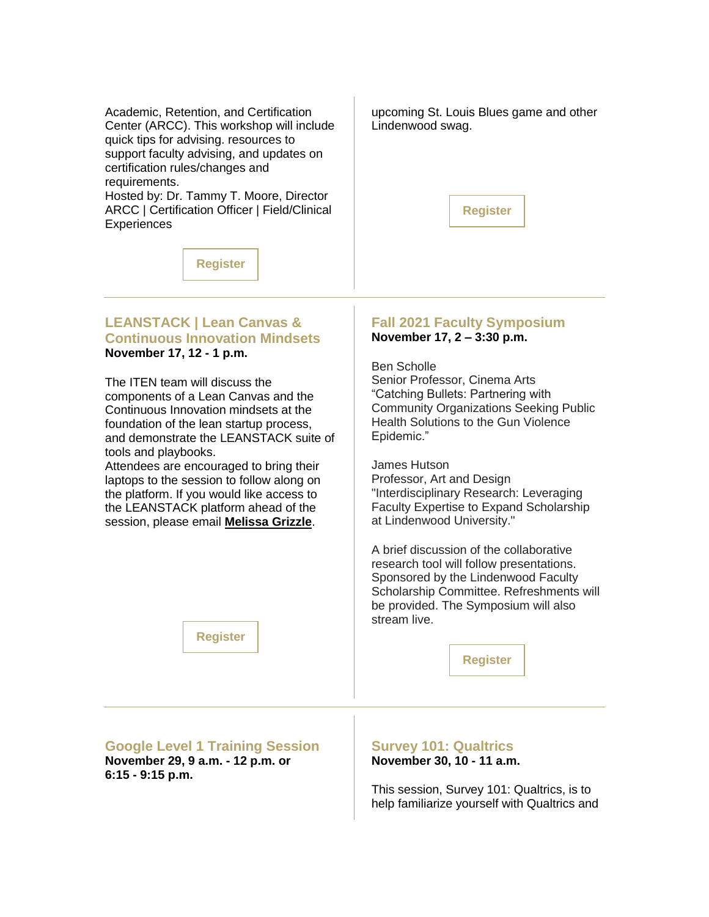Academic, Retention, and Certification Center (ARCC). This workshop will include quick tips for advising. resources to support faculty advising, and updates on certification rules/changes and requirements.

Hosted by: Dr. Tammy T. Moore, Director ARCC | Certification Officer | Field/Clinical **Experiences** 

upcoming St. Louis Blues game and other Lindenwood swag.



**[Register](https://nam04.safelinks.protection.outlook.com/?url=https%3A%2F%2Fr20.rs6.net%2Ftn.jsp%3Ff%3D0011ENtwip0WXNMedkPMl2st-xi0yxC0oI96h8JcbsaZ-i1dP0oRoUhe-c0cUEVBZmjgQ5NQe6BhocLPgLndWciQDgmsPfbhalWgV_3PB9_eRqKvuCmeh57Faas2pQ8CYpXAOuTffNfNtPDTF0SW4Rtbo0GVx0wC1MWRxmJk0i24f2-xNHmR0Wjdw%3D%3D%26c%3Dx5e4YRZYrIg46T7A_irIt4XUQh8H_MUKlAGRBi7NJPzhBG7SIab3-w%3D%3D%26ch%3DJRZVduZlPvzhkgjSUp-N8pUoWOoKikyg8T5fbBTQL8EvppiKA0ePew%3D%3D&data=04%7C01%7Cphuffman%40lindenwood.edu%7C450b39c955834510d94d08d9a45f18aa%7C3d72f08e540a4c68905d9e69c4d9c61e%7C1%7C0%7C637721550620072885%7CUnknown%7CTWFpbGZsb3d8eyJWIjoiMC4wLjAwMDAiLCJQIjoiV2luMzIiLCJBTiI6Ik1haWwiLCJXVCI6Mn0%3D%7C1000&sdata=c53977sLvjK4kwZsH%2F%2B%2Fi1l%2FfRDSHDxmdj8Yr5QO7ic%3D&reserved=0)**

### **LEANSTACK | Lean Canvas & Continuous Innovation Mindsets November 17, 12 - 1 p.m.**

The ITEN team will discuss the components of a Lean Canvas and the Continuous Innovation mindsets at the foundation of the lean startup process, and demonstrate the LEANSTACK suite of tools and playbooks.

Attendees are encouraged to bring their laptops to the session to follow along on the platform. If you would like access to the LEANSTACK platform ahead of the session, please email **[Melissa Grizzle](mailto:mgrizzle@itenstl.org)**.

### **Fall 2021 Faculty Symposium November 17, 2 – 3:30 p.m.**

Ben Scholle Senior Professor, Cinema Arts "Catching Bullets: Partnering with Community Organizations Seeking Public Health Solutions to the Gun Violence Epidemic."

James Hutson Professor, Art and Design "Interdisciplinary Research: Leveraging Faculty Expertise to Expand Scholarship at Lindenwood University."

A brief discussion of the collaborative research tool will follow presentations. Sponsored by the Lindenwood Faculty Scholarship Committee. Refreshments will be provided. The Symposium will also stream live.

**[Register](https://nam04.safelinks.protection.outlook.com/?url=https%3A%2F%2Fr20.rs6.net%2Ftn.jsp%3Ff%3D0011ENtwip0WXNMedkPMl2st-xi0yxC0oI96h8JcbsaZ-i1dP0oRoUhe-c0cUEVBZmj7nBaCjrhsUDheAfOBbz2iZslaUGobA_HFw6XrDzSLj9EwwH-YWRtXaScFeV9Ic62eZgEUcXJ2sER8UHbhTRAMbGGqBCvfpjsiHiM8BuNvmT5j-FTu8MMpEJlILcjS5fU%26c%3Dx5e4YRZYrIg46T7A_irIt4XUQh8H_MUKlAGRBi7NJPzhBG7SIab3-w%3D%3D%26ch%3DJRZVduZlPvzhkgjSUp-N8pUoWOoKikyg8T5fbBTQL8EvppiKA0ePew%3D%3D&data=04%7C01%7Cphuffman%40lindenwood.edu%7C450b39c955834510d94d08d9a45f18aa%7C3d72f08e540a4c68905d9e69c4d9c61e%7C1%7C0%7C637721550620102757%7CUnknown%7CTWFpbGZsb3d8eyJWIjoiMC4wLjAwMDAiLCJQIjoiV2luMzIiLCJBTiI6Ik1haWwiLCJXVCI6Mn0%3D%7C1000&sdata=e%2Fucr94S04sMl0Q1DtdbseTAiypU%2BuIngEpcfzyH2pA%3D&reserved=0)**

**Google Level 1 Training Session November 29, 9 a.m. - 12 p.m. or 6:15 - 9:15 p.m.**

**[Register](https://nam04.safelinks.protection.outlook.com/?url=https%3A%2F%2Fr20.rs6.net%2Ftn.jsp%3Ff%3D0011ENtwip0WXNMedkPMl2st-xi0yxC0oI96h8JcbsaZ-i1dP0oRoUhe-c0cUEVBZmjRfZ2bn9saGOEi49ce2uTADJpdSZNdOy7RvcuP5vVYUSYdZvGu81_wzEz4Qx-EdOnOQlwE8pnLEx6-U8TgznykJfLz_HXZ7pV1WMmmp3msJg%3D%26c%3Dx5e4YRZYrIg46T7A_irIt4XUQh8H_MUKlAGRBi7NJPzhBG7SIab3-w%3D%3D%26ch%3DJRZVduZlPvzhkgjSUp-N8pUoWOoKikyg8T5fbBTQL8EvppiKA0ePew%3D%3D&data=04%7C01%7Cphuffman%40lindenwood.edu%7C450b39c955834510d94d08d9a45f18aa%7C3d72f08e540a4c68905d9e69c4d9c61e%7C1%7C0%7C637721550620092787%7CUnknown%7CTWFpbGZsb3d8eyJWIjoiMC4wLjAwMDAiLCJQIjoiV2luMzIiLCJBTiI6Ik1haWwiLCJXVCI6Mn0%3D%7C1000&sdata=WHnJwt%2ByuqyPAGy0QhKE287zmP%2FHw5Z5t2qVks2zxHE%3D&reserved=0)**

**Survey 101: Qualtrics November 30, 10 - 11 a.m.**

This session, Survey 101: Qualtrics, is to help familiarize yourself with Qualtrics and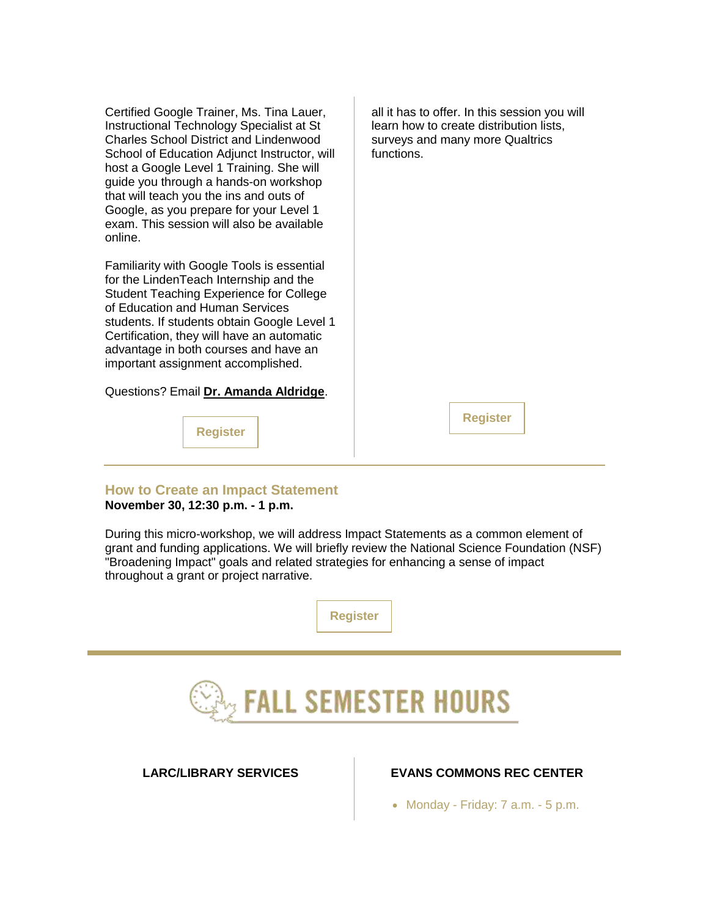Certified Google Trainer, Ms. Tina Lauer, Instructional Technology Specialist at St Charles School District and Lindenwood School of Education Adjunct Instructor, will host a Google Level 1 Training. She will guide you through a hands-on workshop that will teach you the ins and outs of Google, as you prepare for your Level 1 exam. This session will also be available online.

Familiarity with Google Tools is essential for the LindenTeach Internship and the Student Teaching Experience for College of Education and Human Services students. If students obtain Google Level 1 Certification, they will have an automatic advantage in both courses and have an important assignment accomplished.

Questions? Email **[Dr. Amanda Aldridge](mailto:aaldridge@lindenwood.edu)**.

**[Register](https://nam04.safelinks.protection.outlook.com/?url=https%3A%2F%2Fr20.rs6.net%2Ftn.jsp%3Ff%3D0011ENtwip0WXNMedkPMl2st-xi0yxC0oI96h8JcbsaZ-i1dP0oRoUhe-c0cUEVBZmj-Agw0_lbmp7wBffn6q-5GutlxHKySqRvt1aCgoq2lvRzTOpMAZduxwjmRzSYMV97UzHd6i6NXUGXYN9py3SClQz1Wj0JMrmWsPR09aUVTbg%3D%26c%3Dx5e4YRZYrIg46T7A_irIt4XUQh8H_MUKlAGRBi7NJPzhBG7SIab3-w%3D%3D%26ch%3DJRZVduZlPvzhkgjSUp-N8pUoWOoKikyg8T5fbBTQL8EvppiKA0ePew%3D%3D&data=04%7C01%7Cphuffman%40lindenwood.edu%7C450b39c955834510d94d08d9a45f18aa%7C3d72f08e540a4c68905d9e69c4d9c61e%7C1%7C0%7C637721550620102757%7CUnknown%7CTWFpbGZsb3d8eyJWIjoiMC4wLjAwMDAiLCJQIjoiV2luMzIiLCJBTiI6Ik1haWwiLCJXVCI6Mn0%3D%7C1000&sdata=e9fpaC%2FqN5ArMN3hnx2XgSGbzpc9VkF%2BhrP0Qp20TNE%3D&reserved=0)**

all it has to offer. In this session you will learn how to create distribution lists, surveys and many more Qualtrics functions.

**[Register](https://nam04.safelinks.protection.outlook.com/?url=https%3A%2F%2Fr20.rs6.net%2Ftn.jsp%3Ff%3D0011ENtwip0WXNMedkPMl2st-xi0yxC0oI96h8JcbsaZ-i1dP0oRoUhe-c0cUEVBZmjIuHfbrrCLtsyk86jrHvaKk9hN7PUyhB1X-_6oXzVGP88k0eaaQE7a367J3QWsaYqhPnVFx5WMxUj5OtTbFMb8Lkuq5tmK4T8BnmMHCHUVcs%3D%26c%3Dx5e4YRZYrIg46T7A_irIt4XUQh8H_MUKlAGRBi7NJPzhBG7SIab3-w%3D%3D%26ch%3DJRZVduZlPvzhkgjSUp-N8pUoWOoKikyg8T5fbBTQL8EvppiKA0ePew%3D%3D&data=04%7C01%7Cphuffman%40lindenwood.edu%7C450b39c955834510d94d08d9a45f18aa%7C3d72f08e540a4c68905d9e69c4d9c61e%7C1%7C0%7C637721550620112708%7CUnknown%7CTWFpbGZsb3d8eyJWIjoiMC4wLjAwMDAiLCJQIjoiV2luMzIiLCJBTiI6Ik1haWwiLCJXVCI6Mn0%3D%7C1000&sdata=JchZpBezrQfYiJ25uPYYh18XlUFulOw1LZMY7iG%2FQ2U%3D&reserved=0)**

**How to Create an Impact Statement November 30, 12:30 p.m. - 1 p.m.**

During this micro-workshop, we will address Impact Statements as a common element of grant and funding applications. We will briefly review the National Science Foundation (NSF) "Broadening Impact" goals and related strategies for enhancing a sense of impact throughout a grant or project narrative.



## **FALL SEMESTER HOURS**

### **LARC/LIBRARY SERVICES EVANS COMMONS REC CENTER**

• Monday - Friday:  $7$  a.m. -  $5$  p.m.